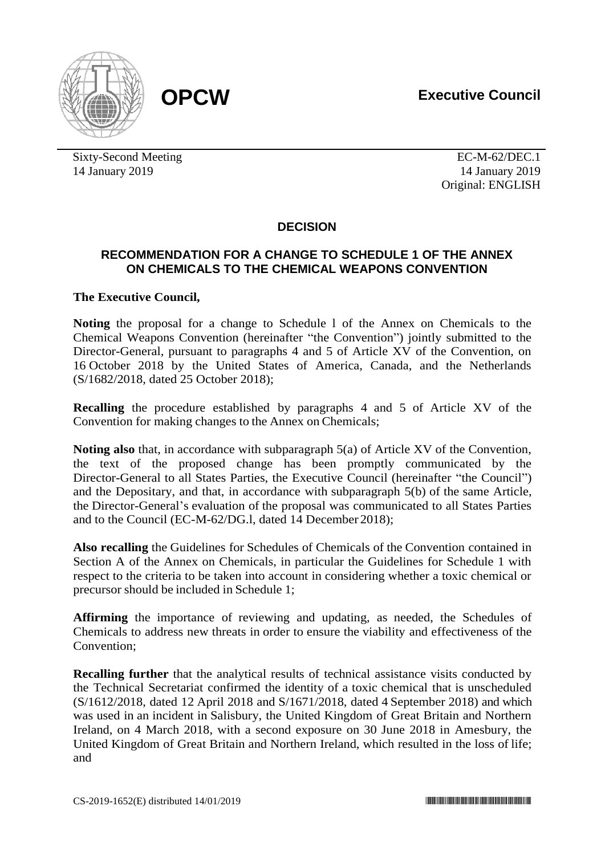

Sixty-Second Meeting EC-M-62/DEC.1 14 January 2019 14 January 2019

Original: ENGLISH

# **DECISION**

## **RECOMMENDATION FOR A CHANGE TO SCHEDULE 1 OF THE ANNEX ON CHEMICALS TO THE CHEMICAL WEAPONS CONVENTION**

## **The Executive Council,**

**Noting** the proposal for a change to Schedule l of the Annex on Chemicals to the Chemical Weapons Convention (hereinafter "the Convention") jointly submitted to the Director-General, pursuant to paragraphs 4 and 5 of Article XV of the Convention, on 16 October 2018 by the United States of America, Canada, and the Netherlands (S/1682/2018, dated 25 October 2018);

**Recalling** the procedure established by paragraphs 4 and 5 of Article XV of the Convention for making changes to the Annex on Chemicals;

**Noting also** that, in accordance with subparagraph 5(a) of Article XV of the Convention, the text of the proposed change has been promptly communicated by the Director-General to all States Parties, the Executive Council (hereinafter "the Council") and the Depositary, and that, in accordance with subparagraph 5(b) of the same Article, the Director-General's evaluation of the proposal was communicated to all States Parties and to the Council (EC-M-62/DG.l, dated 14 December 2018);

**Also recalling** the Guidelines for Schedules of Chemicals of the Convention contained in Section A of the Annex on Chemicals, in particular the Guidelines for Schedule 1 with respect to the criteria to be taken into account in considering whether a toxic chemical or precursor should be included in Schedule 1;

**Affirming** the importance of reviewing and updating, as needed, the Schedules of Chemicals to address new threats in order to ensure the viability and effectiveness of the Convention;

**Recalling further** that the analytical results of technical assistance visits conducted by the Technical Secretariat confirmed the identity of a toxic chemical that is unscheduled (S/1612/2018, dated 12 April 2018 and S/1671/2018, dated 4 September 2018) and which was used in an incident in Salisbury, the United Kingdom of Great Britain and Northern Ireland, on 4 March 2018, with a second exposure on 30 June 2018 in Amesbury, the United Kingdom of Great Britain and Northern Ireland, which resulted in the loss of life; and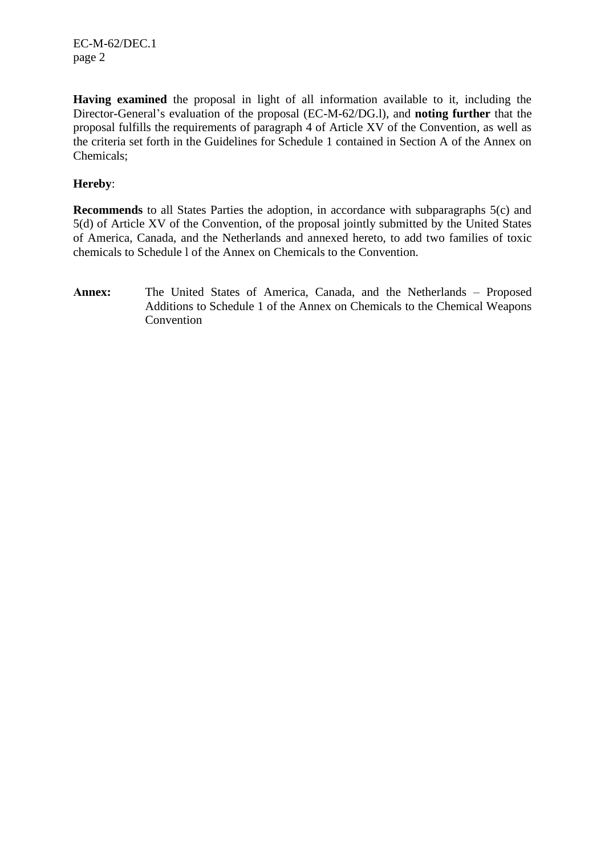EC-M-62/DEC.1 page 2

**Having examined** the proposal in light of all information available to it, including the Director-General's evaluation of the proposal (EC-M-62/DG.l), and **noting further** that the proposal fulfills the requirements of paragraph 4 of Article XV of the Convention, as well as the criteria set forth in the Guidelines for Schedule 1 contained in Section A of the Annex on Chemicals;

## **Hereby**:

**Recommends** to all States Parties the adoption, in accordance with subparagraphs 5(c) and 5(d) of Article XV of the Convention, of the proposal jointly submitted by the United States of America, Canada, and the Netherlands and annexed hereto, to add two families of toxic chemicals to Schedule l of the Annex on Chemicals to the Convention.

**Annex:** The United States of America, Canada, and the Netherlands – Proposed Additions to Schedule 1 of the Annex on Chemicals to the Chemical Weapons **Convention**